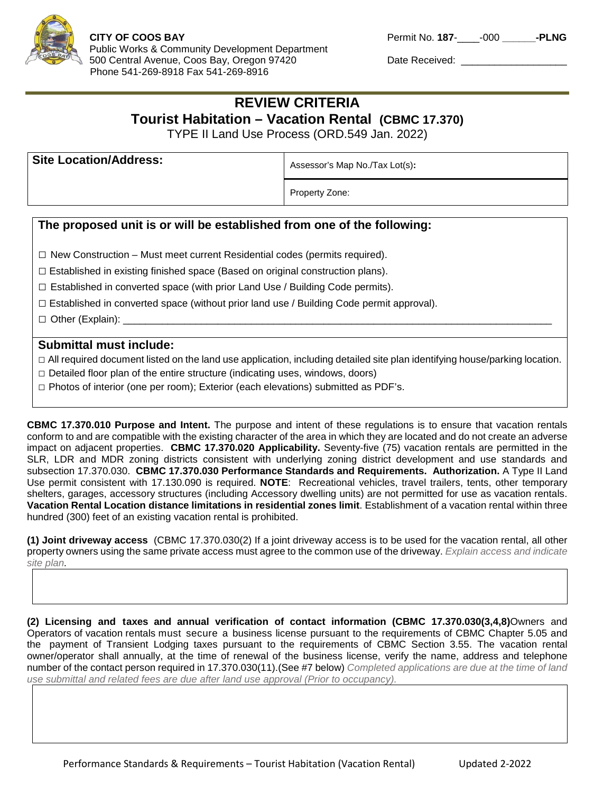

## **REVIEW CRITERIA Tourist Habitation – Vacation Rental (CBMC 17.370)**

TYPE II Land Use Process (ORD.549 Jan. 2022)

| <b>Site Location/Address:</b> | Assessor's Map No./Tax Lot(s): |
|-------------------------------|--------------------------------|
|                               | Property Zone:                 |

## **The proposed unit is or will be established from one of the following:**

**□** New Construction – Must meet current Residential codes (permits required).

 $\Box$  Established in existing finished space (Based on original construction plans).

 $\Box$  Established in converted space (with prior Land Use / Building Code permits).

 $\square$  Established in converted space (without prior land use / Building Code permit approval).

□ Other (Explain):

## **Submittal must include:**

**□** All required document listed on the land use application, including detailed site plan identifying house/parking location.

**□** Detailed floor plan of the entire structure (indicating uses, windows, doors)

**□** Photos of interior (one per room); Exterior (each elevations) submitted as PDF's.

**CBMC 17.370.010 Purpose and Intent.** The purpose and intent of these regulations is to ensure that vacation rentals conform to and are compatible with the existing character of the area in which they are located and do not create an adverse impact on adjacent properties. **CBMC 17.370.020 Applicability.** Seventy-five (75) vacation rentals are permitted in the SLR, LDR and MDR zoning districts consistent with underlying zoning district development and use standards and subsection 17.370.030. **CBMC 17.370.030 Performance Standards and Requirements. Authorization.** A Type II Land Use permit consistent with 17.130.090 is required. **NOTE**: Recreational vehicles, travel trailers, tents, other temporary shelters, garages, accessory structures (including Accessory dwelling units) are not permitted for use as vacation rentals. **Vacation Rental Location distance limitations in residential zones limit**. Establishment of a vacation rental within three hundred (300) feet of an existing vacation rental is prohibited.

**(1) Joint driveway access** (CBMC 17.370.030(2) If a joint driveway access is to be used for the vacation rental, all other property owners using the same private access must agree to the common use of the driveway. *Explain access and indicate site plan.*

**(2) Licensing and taxes and annual verification of contact information (CBMC 17.370.030(3,4,8)**Owners and Operators of vacation rentals must secure a business license pursuant to the requirements of CBMC Chapter 5.05 and the payment of Transient Lodging taxes pursuant to the requirements of CBMC Section 3.55. The vacation rental owner/operator shall annually, at the time of renewal of the business license, verify the name, address and telephone number of the contact person required in 17.370.030(11).(See #7 below) *Completed applications are due at the time of land use submittal and related fees are due after land use approval (Prior to occupancy).*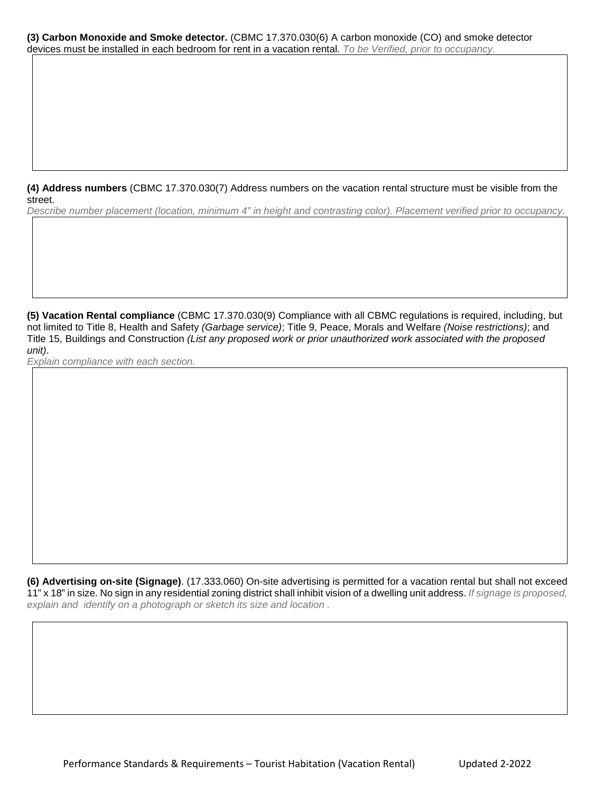**(3) Carbon Monoxide and Smoke detector.** (CBMC 17.370.030(6) A carbon monoxide (CO) and smoke detector devices must be installed in each bedroom for rent in a vacation rental. *To be Verified, prior to occupancy.*

**(4) Address numbers** (CBMC 17.370.030(7) Address numbers on the vacation rental structure must be visible from the street.

*Describe number placement (location, minimum 4" in height and contrasting color). Placement verified prior to occupancy.*

**(5) Vacation Rental compliance** (CBMC 17.370.030(9) Compliance with all CBMC regulations is required, including, but not limited to Title 8, Health and Safety *(Garbage service)*; Title 9, Peace, Morals and Welfare *(Noise restrictions)*; and Title 15, Buildings and Construction *(List any proposed work or prior unauthorized work associated with the proposed unit)*.

*Explain compliance with each section.*

**(6) Advertising on-site (Signage)**. (17.333.060) On-site advertising is permitted for a vacation rental but shall not exceed 11" x 18" in size. No sign in any residential zoning district shall inhibit vision of a dwelling unit address. *If signage is proposed, explain and identify on a photograph or sketch its size and location .*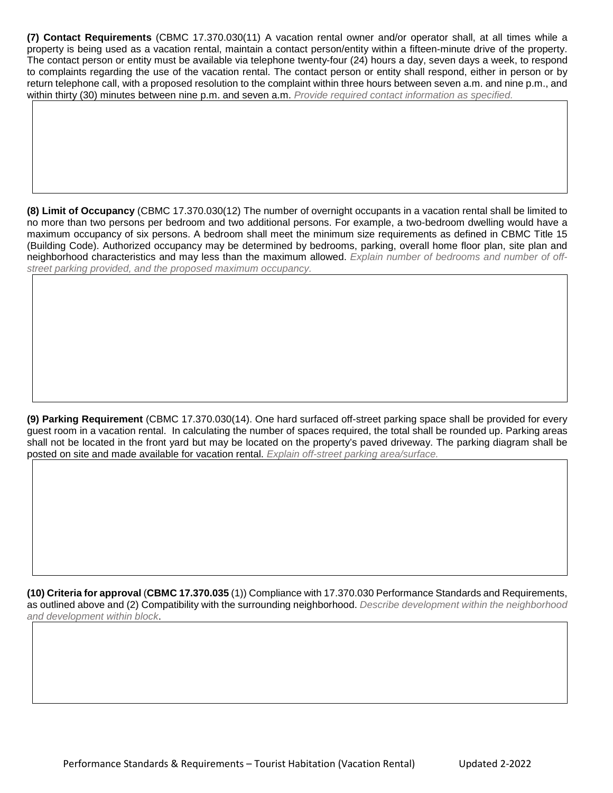**(7) Contact Requirements** (CBMC 17.370.030(11) A vacation rental owner and/or operator shall, at all times while a property is being used as a vacation rental, maintain a contact person/entity within a fifteen-minute drive of the property. The contact person or entity must be available via telephone twenty-four (24) hours a day, seven days a week, to respond to complaints regarding the use of the vacation rental. The contact person or entity shall respond, either in person or by return telephone call, with a proposed resolution to the complaint within three hours between seven a.m. and nine p.m., and within thirty (30) minutes between nine p.m. and seven a.m. *Provide required contact information as specified.*

**(8) Limit of Occupancy** (CBMC 17.370.030(12) The number of overnight occupants in a vacation rental shall be limited to no more than two persons per bedroom and two additional persons. For example, a two-bedroom dwelling would have a maximum occupancy of six persons. A bedroom shall meet the minimum size requirements as defined in CBMC Title 15 (Building Code). Authorized occupancy may be determined by bedrooms, parking, overall home floor plan, site plan and neighborhood characteristics and may less than the maximum allowed. *Explain number of bedrooms and number of offstreet parking provided, and the proposed maximum occupancy.*

**(9) Parking Requirement** (CBMC 17.370.030(14). One hard surfaced off-street parking space shall be provided for every guest room in a vacation rental. In calculating the number of spaces required, the total shall be rounded up. Parking areas shall not be located in the front yard but may be located on the property's paved driveway. The parking diagram shall be posted on site and made available for vacation rental. *Explain off-street parking area/surface.*

**(10) Criteria for approval** (**CBMC 17.370.035** (1)) Compliance with 17.370.030 Performance Standards and Requirements, as outlined above and (2) Compatibility with the surrounding neighborhood. *Describe development within the neighborhood and development within block*.